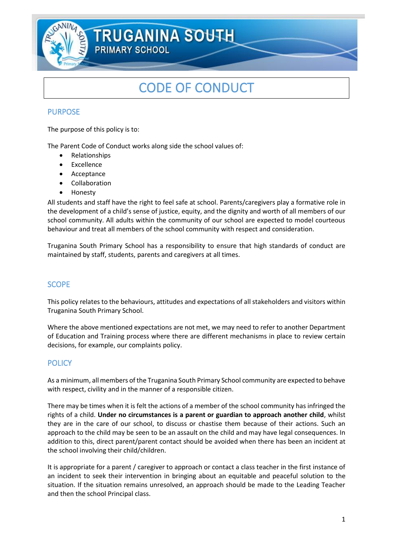

# CODE OF CONDUCT

# **PURPOSE**

The purpose of this policy is to:

The Parent Code of Conduct works along side the school values of:

- Relationships
- Excellence
- **Acceptance**
- **Collaboration**
- Honesty

All students and staff have the right to feel safe at school. Parents/caregivers play a formative role in the development of a child's sense of justice, equity, and the dignity and worth of all members of our school community. All adults within the community of our school are expected to model courteous behaviour and treat all members of the school community with respect and consideration.

Truganina South Primary School has a responsibility to ensure that high standards of conduct are maintained by staff, students, parents and caregivers at all times.

# **SCOPE**

This policy relates to the behaviours, attitudes and expectations of all stakeholders and visitors within Truganina South Primary School.

Where the above mentioned expectations are not met, we may need to refer to another Department of Education and Training process where there are different mechanisms in place to review certain decisions, for example, our complaints policy.

# **POLICY**

As a minimum, all members of the Truganina South Primary School community are expected to behave with respect, civility and in the manner of a responsible citizen.

There may be times when it is felt the actions of a member of the school community has infringed the rights of a child. **Under no circumstances is a parent or guardian to approach another child**, whilst they are in the care of our school, to discuss or chastise them because of their actions. Such an approach to the child may be seen to be an assault on the child and may have legal consequences. In addition to this, direct parent/parent contact should be avoided when there has been an incident at the school involving their child/children.

It is appropriate for a parent / caregiver to approach or contact a class teacher in the first instance of an incident to seek their intervention in bringing about an equitable and peaceful solution to the situation. If the situation remains unresolved, an approach should be made to the Leading Teacher and then the school Principal class.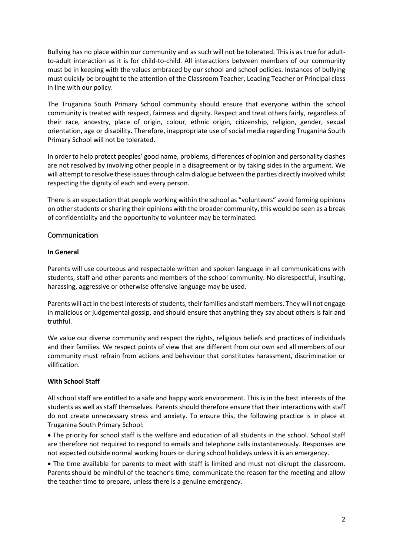Bullying has no place within our community and as such will not be tolerated. This is as true for adultto-adult interaction as it is for child-to-child. All interactions between members of our community must be in keeping with the values embraced by our school and school policies. Instances of bullying must quickly be brought to the attention of the Classroom Teacher, Leading Teacher or Principal class in line with our policy.

The Truganina South Primary School community should ensure that everyone within the school community is treated with respect, fairness and dignity. Respect and treat others fairly, regardless of their race, ancestry, place of origin, colour, ethnic origin, citizenship, religion, gender, sexual orientation, age or disability. Therefore, inappropriate use of social media regarding Truganina South Primary School will not be tolerated.

In order to help protect peoples' good name, problems, differences of opinion and personality clashes are not resolved by involving other people in a disagreement or by taking sides in the argument. We will attempt to resolve these issues through calm dialogue between the parties directly involved whilst respecting the dignity of each and every person.

There is an expectation that people working within the school as "volunteers" avoid forming opinions on other students or sharing their opinions with the broader community, this would be seen as a break of confidentiality and the opportunity to volunteer may be terminated.

# Communication

#### **In General**

Parents will use courteous and respectable written and spoken language in all communications with students, staff and other parents and members of the school community. No disrespectful, insulting, harassing, aggressive or otherwise offensive language may be used.

Parents will act in the best interests of students, their families and staff members. They will not engage in malicious or judgemental gossip, and should ensure that anything they say about others is fair and truthful.

We value our diverse community and respect the rights, religious beliefs and practices of individuals and their families. We respect points of view that are different from our own and all members of our community must refrain from actions and behaviour that constitutes harassment, discrimination or vilification.

# **With School Staff**

All school staff are entitled to a safe and happy work environment. This is in the best interests of the students as well as staff themselves. Parents should therefore ensure that their interactions with staff do not create unnecessary stress and anxiety. To ensure this, the following practice is in place at Truganina South Primary School:

• The priority for school staff is the welfare and education of all students in the school. School staff are therefore not required to respond to emails and telephone calls instantaneously. Responses are not expected outside normal working hours or during school holidays unless it is an emergency.

• The time available for parents to meet with staff is limited and must not disrupt the classroom. Parents should be mindful of the teacher's time, communicate the reason for the meeting and allow the teacher time to prepare, unless there is a genuine emergency.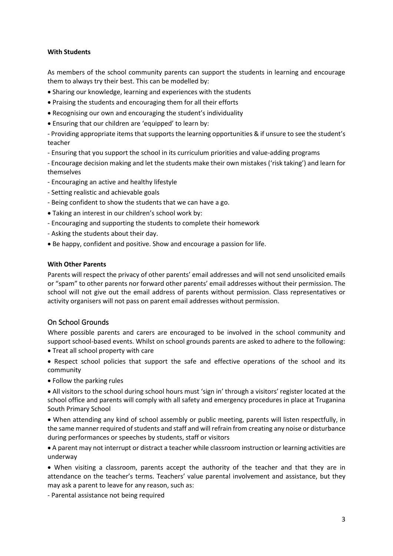#### **With Students**

As members of the school community parents can support the students in learning and encourage them to always try their best. This can be modelled by:

- Sharing our knowledge, learning and experiences with the students
- Praising the students and encouraging them for all their efforts
- Recognising our own and encouraging the student's individuality
- Ensuring that our children are 'equipped' to learn by:

- Providing appropriate items that supports the learning opportunities & if unsure to see the student's teacher

- Ensuring that you support the school in its curriculum priorities and value-adding programs

- Encourage decision making and let the students make their own mistakes ('risk taking') and learn for themselves

- Encouraging an active and healthy lifestyle
- Setting realistic and achievable goals
- Being confident to show the students that we can have a go.
- Taking an interest in our children's school work by:
- Encouraging and supporting the students to complete their homework
- Asking the students about their day.
- Be happy, confident and positive. Show and encourage a passion for life.

#### **With Other Parents**

Parents will respect the privacy of other parents' email addresses and will not send unsolicited emails or "spam" to other parents nor forward other parents' email addresses without their permission. The school will not give out the email address of parents without permission. Class representatives or activity organisers will not pass on parent email addresses without permission.

# On School Grounds

Where possible parents and carers are encouraged to be involved in the school community and support school-based events. Whilst on school grounds parents are asked to adhere to the following:

- Treat all school property with care
- Respect school policies that support the safe and effective operations of the school and its community
- Follow the parking rules

• All visitors to the school during school hours must 'sign in' through a visitors' register located at the school office and parents will comply with all safety and emergency procedures in place at Truganina South Primary School

• When attending any kind of school assembly or public meeting, parents will listen respectfully, in the same manner required of students and staff and will refrain from creating any noise or disturbance during performances or speeches by students, staff or visitors

• A parent may not interrupt or distract a teacher while classroom instruction or learning activities are underway

• When visiting a classroom, parents accept the authority of the teacher and that they are in attendance on the teacher's terms. Teachers' value parental involvement and assistance, but they may ask a parent to leave for any reason, such as:

- Parental assistance not being required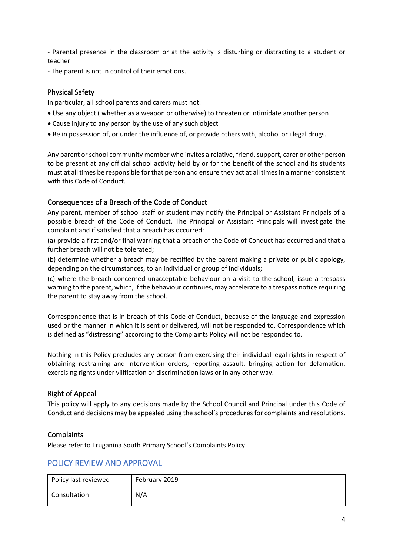- Parental presence in the classroom or at the activity is disturbing or distracting to a student or teacher

- The parent is not in control of their emotions.

# Physical Safety

In particular, all school parents and carers must not:

- Use any object ( whether as a weapon or otherwise) to threaten or intimidate another person
- Cause injury to any person by the use of any such object
- Be in possession of, or under the influence of, or provide others with, alcohol or illegal drugs.

Any parent or school community member who invites a relative, friend, support, carer or other person to be present at any official school activity held by or for the benefit of the school and its students must at all times be responsible for that person and ensure they act at all times in a manner consistent with this Code of Conduct.

# Consequences of a Breach of the Code of Conduct

Any parent, member of school staff or student may notify the Principal or Assistant Principals of a possible breach of the Code of Conduct. The Principal or Assistant Principals will investigate the complaint and if satisfied that a breach has occurred:

(a) provide a first and/or final warning that a breach of the Code of Conduct has occurred and that a further breach will not be tolerated;

(b) determine whether a breach may be rectified by the parent making a private or public apology, depending on the circumstances, to an individual or group of individuals;

(c) where the breach concerned unacceptable behaviour on a visit to the school, issue a trespass warning to the parent, which, if the behaviour continues, may accelerate to a trespass notice requiring the parent to stay away from the school.

Correspondence that is in breach of this Code of Conduct, because of the language and expression used or the manner in which it is sent or delivered, will not be responded to. Correspondence which is defined as "distressing" according to the Complaints Policy will not be responded to.

Nothing in this Policy precludes any person from exercising their individual legal rights in respect of obtaining restraining and intervention orders, reporting assault, bringing action for defamation, exercising rights under vilification or discrimination laws or in any other way.

# Right of Appeal

This policy will apply to any decisions made by the School Council and Principal under this Code of Conduct and decisions may be appealed using the school's procedures for complaints and resolutions.

# **Complaints**

Please refer to Truganina South Primary School's Complaints Policy.

# POLICY REVIEW AND APPROVAL

| Policy last reviewed | February 2019 |
|----------------------|---------------|
| Consultation         | N/A           |